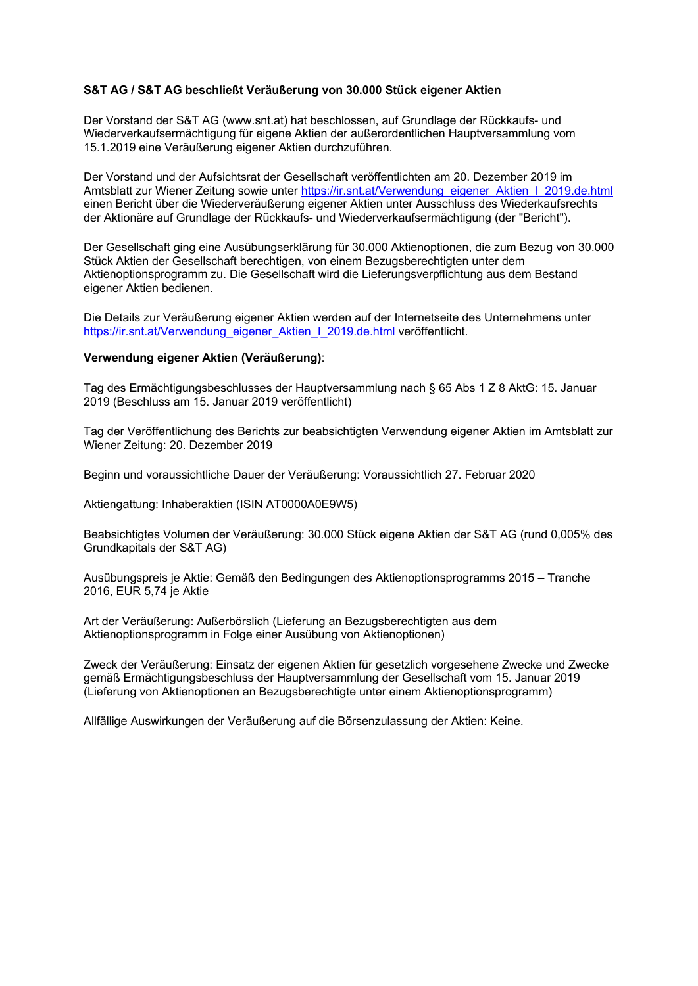## **S&T AG / S&T AG beschließt Veräußerung von 30.000 Stück eigener Aktien**

Der Vorstand der S&T AG (www.snt.at) hat beschlossen, auf Grundlage der Rückkaufs- und Wiederverkaufsermächtigung für eigene Aktien der außerordentlichen Hauptversammlung vom 15.1.2019 eine Veräußerung eigener Aktien durchzuführen.

Der Vorstand und der Aufsichtsrat der Gesellschaft veröffentlichten am 20. Dezember 2019 im Amtsblatt zur Wiener Zeitung sowie unter https://ir.snt.at/Verwendung\_eigener\_Aktien\_I\_2019.de.html einen Bericht über die Wiederveräußerung eigener Aktien unter Ausschluss des Wiederkaufsrechts der Aktionäre auf Grundlage der Rückkaufs- und Wiederverkaufsermächtigung (der "Bericht").

Der Gesellschaft ging eine Ausübungserklärung für 30.000 Aktienoptionen, die zum Bezug von 30.000 Stück Aktien der Gesellschaft berechtigen, von einem Bezugsberechtigten unter dem Aktienoptionsprogramm zu. Die Gesellschaft wird die Lieferungsverpflichtung aus dem Bestand eigener Aktien bedienen.

Die Details zur Veräußerung eigener Aktien werden auf der Internetseite des Unternehmens unter https://ir.snt.at/Verwendung\_eigener\_Aktien\_I\_2019.de.html veröffentlicht.

## **Verwendung eigener Aktien (Veräußerung)**:

Tag des Ermächtigungsbeschlusses der Hauptversammlung nach § 65 Abs 1 Z 8 AktG: 15. Januar 2019 (Beschluss am 15. Januar 2019 veröffentlicht)

Tag der Veröffentlichung des Berichts zur beabsichtigten Verwendung eigener Aktien im Amtsblatt zur Wiener Zeitung: 20. Dezember 2019

Beginn und voraussichtliche Dauer der Veräußerung: Voraussichtlich 27. Februar 2020

Aktiengattung: Inhaberaktien (ISIN AT0000A0E9W5)

Beabsichtigtes Volumen der Veräußerung: 30.000 Stück eigene Aktien der S&T AG (rund 0,005% des Grundkapitals der S&T AG)

Ausübungspreis je Aktie: Gemäß den Bedingungen des Aktienoptionsprogramms 2015 – Tranche 2016, EUR 5,74 je Aktie

Art der Veräußerung: Außerbörslich (Lieferung an Bezugsberechtigten aus dem Aktienoptionsprogramm in Folge einer Ausübung von Aktienoptionen)

Zweck der Veräußerung: Einsatz der eigenen Aktien für gesetzlich vorgesehene Zwecke und Zwecke gemäß Ermächtigungsbeschluss der Hauptversammlung der Gesellschaft vom 15. Januar 2019 (Lieferung von Aktienoptionen an Bezugsberechtigte unter einem Aktienoptionsprogramm)

Allfällige Auswirkungen der Veräußerung auf die Börsenzulassung der Aktien: Keine.